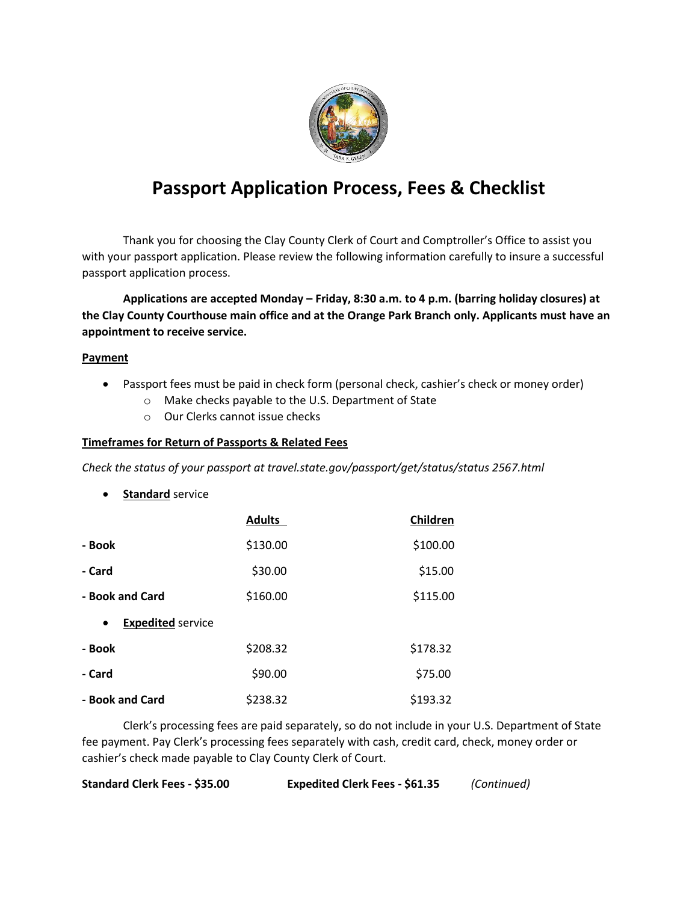

## **Passport Application Process, Fees & Checklist**

Thank you for choosing the Clay County Clerk of Court and Comptroller's Office to assist you with your passport application. Please review the following information carefully to insure a successful passport application process.

**Applications are accepted Monday – Friday, 8:30 a.m. to 4 p.m. (barring holiday closures) at the Clay County Courthouse main office and at the Orange Park Branch only. Applicants must have an appointment to receive service.** 

## **Payment**

- Passport fees must be paid in check form (personal check, cashier's check or money order)
	- o Make checks payable to the U.S. Department of State
	- o Our Clerks cannot issue checks

## **Timeframes for Return of Passports & Related Fees**

*Check the status of your passport at travel.state.gov/passport/get/status/status 2567.html*

**•** Standard service

|                                       | <b>Adults</b> | Children |
|---------------------------------------|---------------|----------|
| - Book                                | \$130.00      | \$100.00 |
| - Card                                | \$30.00       | \$15.00  |
| - Book and Card                       | \$160.00      | \$115.00 |
| <b>Expedited service</b><br>$\bullet$ |               |          |
| - Book                                | \$208.32      | \$178.32 |
| - Card                                | \$90.00       | \$75.00  |
| - Book and Card                       | \$238.32      | \$193.32 |

Clerk's processing fees are paid separately, so do not include in your U.S. Department of State fee payment. Pay Clerk's processing fees separately with cash, credit card, check, money order or cashier's check made payable to Clay County Clerk of Court.

| Standard Clerk Fees - \$35.00 | <b>Expedited Clerk Fees - \$61.35</b> | (Continued) |
|-------------------------------|---------------------------------------|-------------|
|-------------------------------|---------------------------------------|-------------|